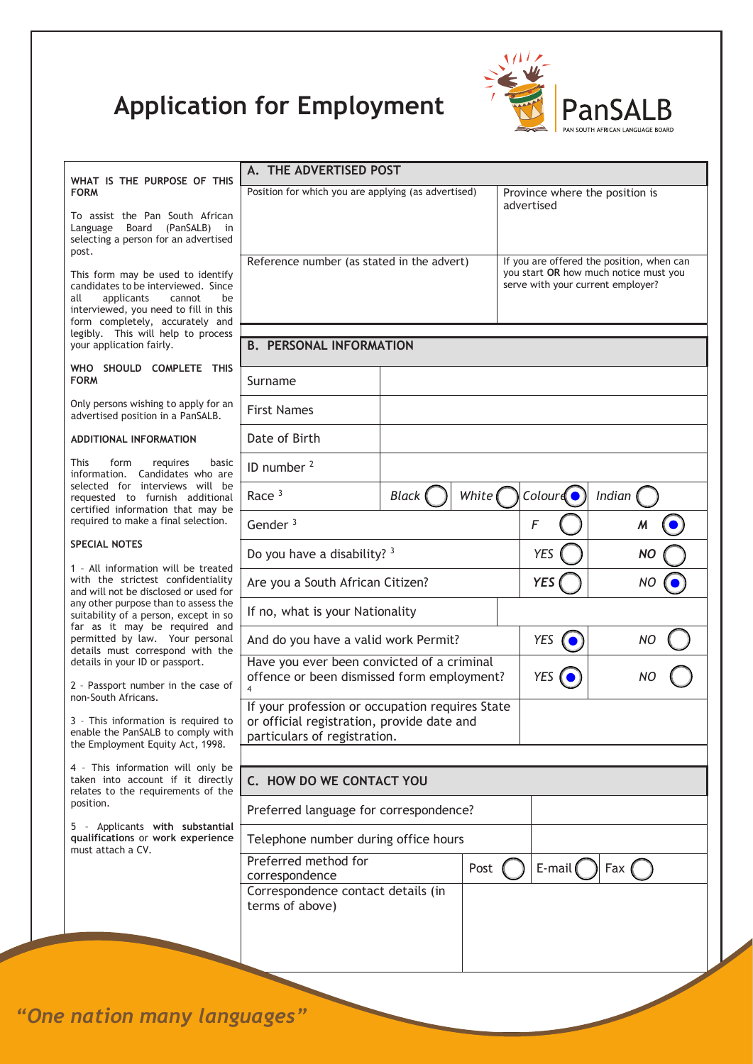## **Application for Employment**



| WHAT IS THE PURPOSE OF THIS                                                                                                                                                                                                     | A. THE ADVERTISED POST                                                                                                        |                         |  |                                                                            |                                  |  |  |
|---------------------------------------------------------------------------------------------------------------------------------------------------------------------------------------------------------------------------------|-------------------------------------------------------------------------------------------------------------------------------|-------------------------|--|----------------------------------------------------------------------------|----------------------------------|--|--|
| <b>FORM</b>                                                                                                                                                                                                                     | Position for which you are applying (as advertised)                                                                           |                         |  | Province where the position is<br>advertised                               |                                  |  |  |
| To assist the Pan South African<br>(PanSALB) in<br>Language Board<br>selecting a person for an advertised<br>post.                                                                                                              |                                                                                                                               |                         |  | If you are offered the position, when can                                  |                                  |  |  |
| This form may be used to identify<br>candidates to be interviewed. Since<br>applicants<br>all<br>cannot<br>be<br>interviewed, you need to fill in this<br>form completely, accurately and<br>legibly. This will help to process | Reference number (as stated in the advert)                                                                                    |                         |  | you start OR how much notice must you<br>serve with your current employer? |                                  |  |  |
| your application fairly.                                                                                                                                                                                                        | <b>B. PERSONAL INFORMATION</b>                                                                                                |                         |  |                                                                            |                                  |  |  |
| WHO SHOULD COMPLETE THIS<br><b>FORM</b>                                                                                                                                                                                         | Surname                                                                                                                       |                         |  |                                                                            |                                  |  |  |
| Only persons wishing to apply for an<br>advertised position in a PanSALB.                                                                                                                                                       | <b>First Names</b>                                                                                                            |                         |  |                                                                            |                                  |  |  |
| <b>ADDITIONAL INFORMATION</b>                                                                                                                                                                                                   | Date of Birth                                                                                                                 |                         |  |                                                                            |                                  |  |  |
| <b>This</b><br>form<br>requires<br>basic<br>information. Candidates who are                                                                                                                                                     | ID number <sup>2</sup>                                                                                                        |                         |  |                                                                            |                                  |  |  |
| selected for interviews will be<br>requested to furnish additional<br>certified information that may be                                                                                                                         | Race $3$                                                                                                                      | White (<br><b>Black</b> |  | $\text{Colour}(\bullet)$                                                   | Indian                           |  |  |
| required to make a final selection.                                                                                                                                                                                             | Gender $3$                                                                                                                    |                         |  | F                                                                          | $\pmb{\mathcal{M}}$<br>$\bullet$ |  |  |
| <b>SPECIAL NOTES</b>                                                                                                                                                                                                            | Do you have a disability? 3                                                                                                   |                         |  | <b>YES</b>                                                                 | <b>NO</b>                        |  |  |
| 1 - All information will be treated<br>with the strictest confidentiality<br>and will not be disclosed or used for                                                                                                              | Are you a South African Citizen?                                                                                              |                         |  | <b>YES</b>                                                                 | <b>NO</b>                        |  |  |
| any other purpose than to assess the<br>suitability of a person, except in so<br>far as it may be required and                                                                                                                  | If no, what is your Nationality                                                                                               |                         |  |                                                                            |                                  |  |  |
| permitted by law. Your personal<br>details must correspond with the                                                                                                                                                             | And do you have a valid work Permit?                                                                                          |                         |  | YES                                                                        | NO                               |  |  |
| details in your ID or passport.<br>2 - Passport number in the case of                                                                                                                                                           | Have you ever been convicted of a criminal<br>offence or been dismissed form employment?                                      |                         |  | <b>YES</b>                                                                 |                                  |  |  |
| non-South Africans.<br>3 - This information is required to<br>enable the PanSALB to comply with<br>the Employment Equity Act, 1998.                                                                                             | If your profession or occupation requires State<br>or official registration, provide date and<br>particulars of registration. |                         |  |                                                                            |                                  |  |  |
| 4 - This information will only be<br>taken into account if it directly                                                                                                                                                          | C. HOW DO WE CONTACT YOU                                                                                                      |                         |  |                                                                            |                                  |  |  |
| relates to the requirements of the<br>position.                                                                                                                                                                                 | Preferred language for correspondence?                                                                                        |                         |  |                                                                            |                                  |  |  |
| 5 - Applicants with substantial<br>qualifications or work experience                                                                                                                                                            | Telephone number during office hours                                                                                          |                         |  |                                                                            |                                  |  |  |
| must attach a CV.                                                                                                                                                                                                               | Preferred method for<br>correspondence                                                                                        | Post                    |  | E-mail                                                                     | Fax (                            |  |  |
|                                                                                                                                                                                                                                 | Correspondence contact details (in<br>terms of above)                                                                         |                         |  |                                                                            |                                  |  |  |
|                                                                                                                                                                                                                                 |                                                                                                                               |                         |  |                                                                            |                                  |  |  |
|                                                                                                                                                                                                                                 |                                                                                                                               |                         |  |                                                                            |                                  |  |  |

*"One nation many languages"*